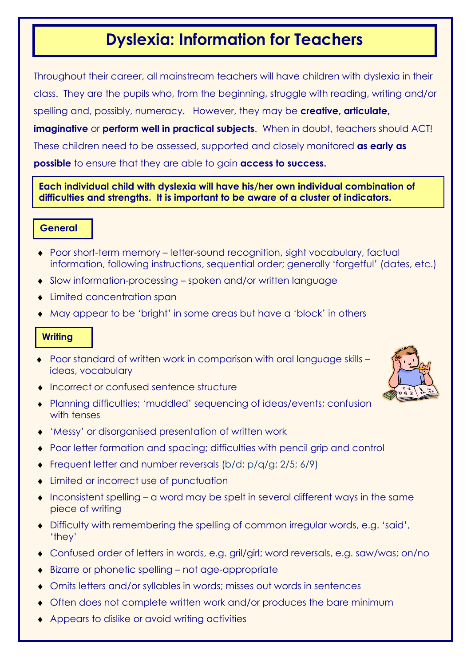# Dyslexia: Information for Teachers

Throughout their career, all mainstream teachers will have children with dyslexia in their class. They are the pupils who, from the beginning, struggle with reading, writing and/or spelling and, possibly, numeracy. However, they may be creative, articulate, imaginative or perform well in practical subjects. When in doubt, teachers should ACT! These children need to be assessed, supported and closely monitored as early as possible to ensure that they are able to gain access to success.

# Each individual child with dyslexia will have his/her own individual combination of difficulties and strengths. It is important to be aware of a cluster of indicators.

# **General**

- ♦ Poor short-term memory letter-sound recognition, sight vocabulary, factual information, following instructions, sequential order; generally 'forgetful' (dates, etc.)
- ♦ Slow information-processing spoken and/or written language
- Limited concentration span
- ♦ May appear to be 'bright' in some areas but have a 'block' in others

### **Writing**

- ♦ Poor standard of written work in comparison with oral language skills ideas, vocabulary
- ♦ Incorrect or confused sentence structure
- ♦ Planning difficulties; 'muddled' sequencing of ideas/events; confusion with tenses
- ♦ 'Messy' or disorganised presentation of written work
- ♦ Poor letter formation and spacing; difficulties with pencil grip and control
- ♦ Frequent letter and number reversals (b/d; p/q/g; 2/5; 6/9)
- ♦ Limited or incorrect use of punctuation
- ♦ Inconsistent spelling a word may be spelt in several different ways in the same piece of writing
- ♦ Difficulty with remembering the spelling of common irregular words, e.g. 'said', 'they'
- ♦ Confused order of letters in words, e.g. gril/girl; word reversals, e.g. saw/was; on/no
- ♦ Bizarre or phonetic spelling not age-appropriate
- ♦ Omits letters and/or syllables in words; misses out words in sentences
- ♦ Often does not complete written work and/or produces the bare minimum
- ♦ Appears to dislike or avoid writing activities